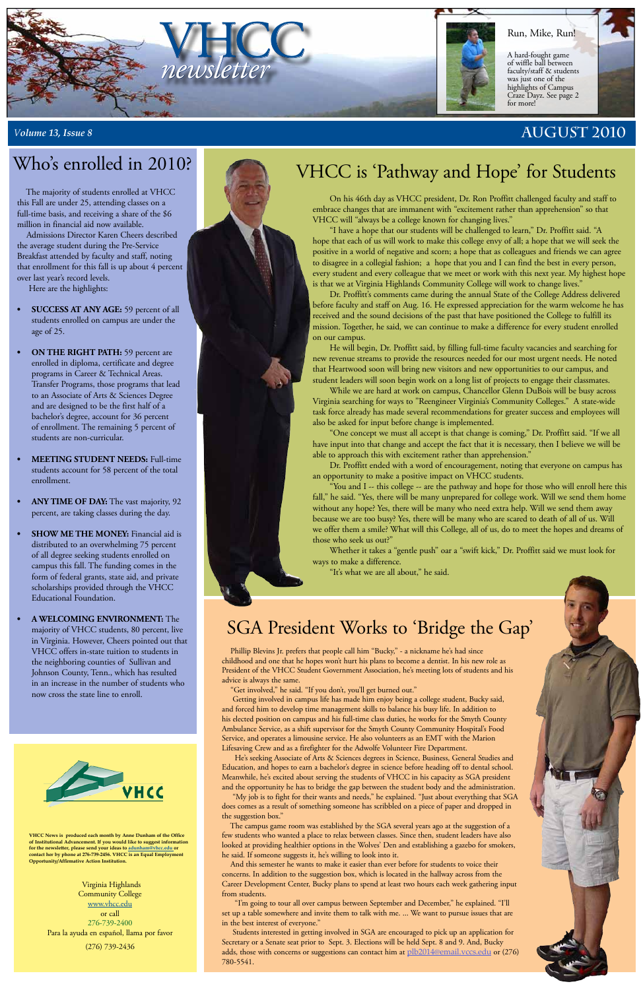**VHCC News is produced each month by Anne Dunham of the Office of Institutional Advancement. If you would like to suggest information for the newsletter, please send your ideas to [adunham@vhcc.edu or](mailto:adunham@vhcc.edu) contact her by phone at 276-739-2456. VHCC is an Equal Employment Opportunity/Affirmative Action Institution.**

> Virginia Highlands Community College [www.vhcc.edu](http://www.vhcc.edu) or call 276-739-2400 Para la ayuda en español, llama por favor (276) 739-2436

# Who's enrolled in 2010?

# SGA President Works to 'Bridge the Gap'

 Phillip Blevins Jr. prefers that people call him "Bucky," - a nickname he's had since childhood and one that he hopes won't hurt his plans to become a dentist. In his new role as President of the VHCC Student Government Association, he's meeting lots of students and his advice is always the same.

"Get involved," he said. "If you don't, you'll get burned out."

 Getting involved in campus life has made him enjoy being a college student, Bucky said, and forced him to develop time management skills to balance his busy life. In addition to his elected position on campus and his full-time class duties, he works for the Smyth County Ambulance Service, as a shift supervisor for the Smyth County Community Hospital's Food Service, and operates a limousine service. He also volunteers as an EMT with the Marion Lifesaving Crew and as a firefighter for the Adwolfe Volunteer Fire Department.



 He's seeking Associate of Arts & Sciences degrees in Science, Business, General Studies and Education, and hopes to earn a bachelor's degree in science before heading off to dental school. Meanwhile, he's excited about serving the students of VHCC in his capacity as SGA president and the opportunity he has to bridge the gap between the student body and the administration.



 "My job is to fight for their wants and needs," he explained. "Just about everything that SGA does comes as a result of something someone has scribbled on a piece of paper and dropped in the suggestion box."

 The campus game room was established by the SGA several years ago at the suggestion of a few students who wanted a place to relax between classes. Since then, student leaders have also looked at providing healthier options in the Wolves' Den and establishing a gazebo for smokers, he said. If someone suggests it, he's willing to look into it.

 And this semester he wants to make it easier than ever before for students to voice their concerns. In addition to the suggestion box, which is located in the hallway across from the Career Development Center, Bucky plans to spend at least two hours each week gathering input from students.

 "I'm going to tour all over campus between September and December," he explained. "I'll set up a table somewhere and invite them to talk with me. ... We want to pursue issues that are in the best interest of everyone."

 Students interested in getting involved in SGA are encouraged to pick up an application for Secretary or a Senate seat prior to Sept. 3. Elections will be held Sept. 8 and 9. And, Bucky adds, those with concerns or suggestions can contact him at <u>[plb2014@email.vccs.edu](mailto:plb2014@email.vccs.edu)</u> or (276) 780-5541.

# VHCC is 'Pathway and Hope' for Students

 The majority of students enrolled at VHCC this Fall are under 25, attending classes on a full-time basis, and receiving a share of the \$6 million in financial aid now available.

 Admissions Director Karen Cheers described the average student during the Pre-Service Breakfast attended by faculty and staff, noting that enrollment for this fall is up about 4 percent over last year's record levels.

Here are the highlights:

- **• SUCCESS AT ANY AGE:** 59 percent of all students enrolled on campus are under the age of 25.
- **ON THE RIGHT PATH:** 59 percent are enrolled in diploma, certificate and degree programs in Career & Technical Areas. Transfer Programs, those programs that lead to an Associate of Arts & Sciences Degree and are designed to be the first half of a bachelor's degree, account for 36 percent of enrollment. The remaining 5 percent of students are non-curricular.
- **MEETING STUDENT NEEDS:** Full-time students account for 58 percent of the total enrollment.
- **ANY TIME OF DAY:** The vast majority, 92 percent, are taking classes during the day.
- **SHOW ME THE MONEY:** Financial aid is distributed to an overwhelming 75 percent of all degree seeking students enrolled on campus this fall. The funding comes in the form of federal grants, state aid, and private scholarships provided through the VHCC Educational Foundation.

**• A WELCOMING ENVIRONMENT:** The majority of VHCC students, 80 percent, live in Virginia. However, Cheers pointed out that VHCC offers in-state tuition to students in the neighboring counties of Sullivan and Johnson County, Tenn., which has resulted in an increase in the number of students who now cross the state line to enroll.

On his 46th day as VHCC president, Dr. Ron Proffitt challenged faculty and staff to embrace changes that are immanent with "excitement rather than apprehension" so that VHCC will "always be a college known for changing lives."

"I have a hope that our students will be challenged to learn," Dr. Proffitt said. "A hope that each of us will work to make this college envy of all; a hope that we will seek the positive in a world of negative and scorn; a hope that as colleagues and friends we can agree to disagree in a collegial fashion; a hope that you and I can find the best in every person, every student and every colleague that we meet or work with this next year. My highest hope is that we at Virginia Highlands Community College will work to change lives."

Dr. Proffitt's comments came during the annual State of the College Address delivered before faculty and staff on Aug. 16. He expressed appreciation for the warm welcome he has received and the sound decisions of the past that have positioned the College to fulfill its mission. Together, he said, we can continue to make a difference for every student enrolled on our campus.

He will begin, Dr. Proffitt said, by filling full-time faculty vacancies and searching for new revenue streams to provide the resources needed for our most urgent needs. He noted that Heartwood soon will bring new visitors and new opportunities to our campus, and student leaders will soon begin work on a long list of projects to engage their classmates.

While we are hard at work on campus, Chancellor Glenn DuBois will be busy across Virginia searching for ways to "Reengineer Virginia's Community Colleges." A state-wide task force already has made several recommendations for greater success and employees will also be asked for input before change is implemented.

"One concept we must all accept is that change is coming," Dr. Proffitt said. "If we all have input into that change and accept the fact that it is necessary, then I believe we will be able to approach this with excitement rather than apprehension."

Dr. Proffitt ended with a word of encouragement, noting that everyone on campus has an opportunity to make a positive impact on VHCC students.

"You and I -- this college -- are the pathway and hope for those who will enroll here this fall," he said. "Yes, there will be many unprepared for college work. Will we send them home without any hope? Yes, there will be many who need extra help. Will we send them away because we are too busy? Yes, there will be many who are scared to death of all of us. Will we offer them a smile? What will this College, all of us, do to meet the hopes and dreams of those who seek us out?"

Whether it takes a "gentle push" oar a "swift kick," Dr. Proffitt said we must look for ways to make a difference.

"It's what we are all about," he said.